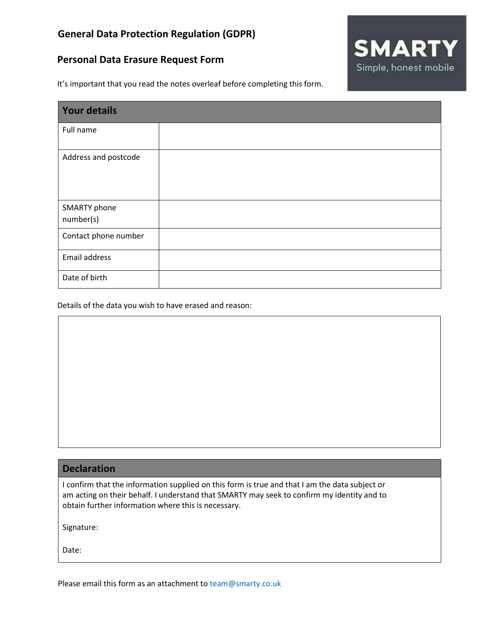# **General Data Protection Regulation (GDPR)**

## **Personal Data Erasure Request Form**



It's important that you read the notes overleaf before completing this form.

| <b>Your details</b>              |  |
|----------------------------------|--|
| Full name                        |  |
| Address and postcode             |  |
| <b>SMARTY phone</b><br>number(s) |  |
| Contact phone number             |  |
| <b>Email address</b>             |  |
| Date of birth                    |  |

Details of the data you wish to have erased and reason:

## **Declaration**

I confirm that the information supplied on this form is true and that I am the data subject or am acting on their behalf. I understand that SMARTY may seek to confirm my identity and to obtain further information where this is necessary.

Signature:

Date: